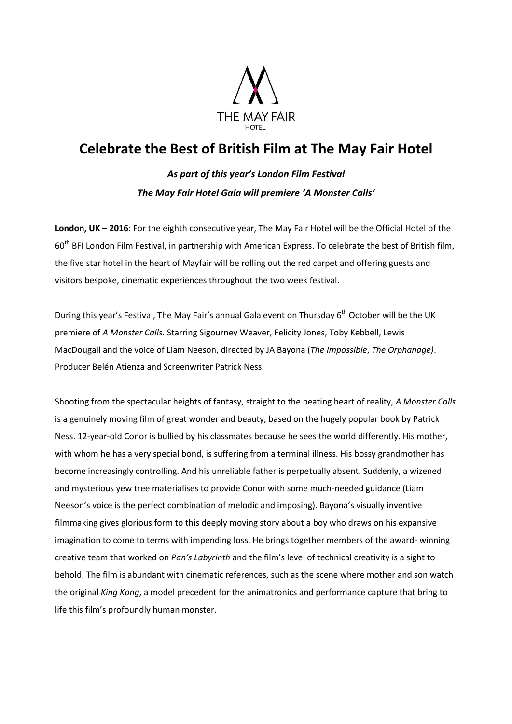

## **Celebrate the Best of British Film at The May Fair Hotel**

*As part of this year's London Film Festival The May Fair Hotel Gala will premiere 'A Monster Calls'*

**London, UK – 2016**: For the eighth consecutive year, The May Fair Hotel will be the Official Hotel of the 60<sup>th</sup> BFI London Film Festival, in partnership with American Express. To celebrate the best of British film, the five star hotel in the heart of Mayfair will be rolling out the red carpet and offering guests and visitors bespoke, cinematic experiences throughout the two week festival.

During this year's Festival, The May Fair's annual Gala event on Thursday 6<sup>th</sup> October will be the UK premiere of *A Monster Calls.* Starring Sigourney Weaver, Felicity Jones, Toby Kebbell, Lewis MacDougall and the voice of Liam Neeson, directed by JA Bayona (*The Impossible*, *The Orphanage)*. Producer Belén Atienza and Screenwriter Patrick Ness.

Shooting from the spectacular heights of fantasy, straight to the beating heart of reality, *A Monster Calls*  is a genuinely moving film of great wonder and beauty, based on the hugely popular book by Patrick Ness. 12-year-old Conor is bullied by his classmates because he sees the world differently. His mother, with whom he has a very special bond, is suffering from a terminal illness. His bossy grandmother has become increasingly controlling. And his unreliable father is perpetually absent. Suddenly, a wizened and mysterious yew tree materialises to provide Conor with some much-needed guidance (Liam Neeson's voice is the perfect combination of melodic and imposing). Bayona's visually inventive filmmaking gives glorious form to this deeply moving story about a boy who draws on his expansive imagination to come to terms with impending loss. He brings together members of the award- winning creative team that worked on *Pan's Labyrinth* and the film's level of technical creativity is a sight to behold. The film is abundant with cinematic references, such as the scene where mother and son watch the original *King Kong*, a model precedent for the animatronics and performance capture that bring to life this film's profoundly human monster.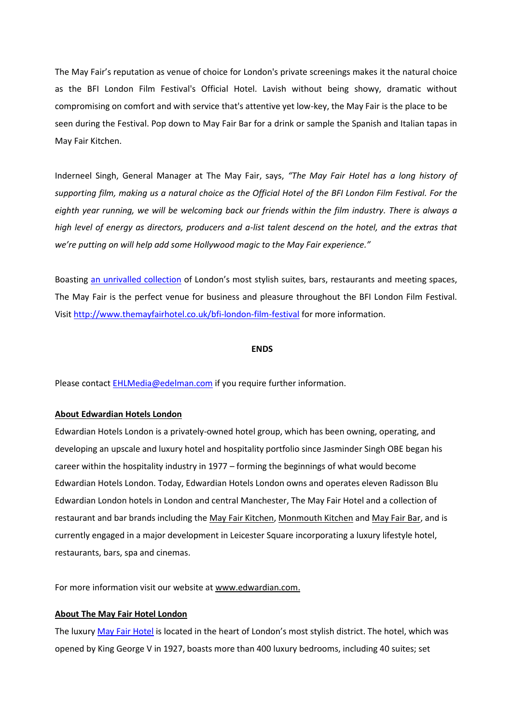The May Fair's reputation as venue of choice for London's private screenings makes it the natural choice as the BFI London Film Festival's Official Hotel. Lavish without being showy, dramatic without compromising on comfort and with service that's attentive yet low-key, the May Fair is the place to be seen during the Festival. Pop down to May Fair Bar for a drink or sample the Spanish and Italian tapas in May Fair Kitchen.

Inderneel Singh, General Manager at The May Fair, says, *"The May Fair Hotel has a long history of supporting film, making us a natural choice as the Official Hotel of the BFI London Film Festival. For the eighth year running, we will be welcoming back our friends within the film industry. There is always a high level of energy as directors, producers and a-list talent descend on the hotel, and the extras that we're putting on will help add some Hollywood magic to the May Fair experience."*

Boasting [an unrivalled collection](http://www.themayfairsuites.com/) of London's most stylish suites, bars, restaurants and meeting spaces, The May Fair is the perfect venue for business and pleasure throughout the BFI London Film Festival. Visi[t http://www.themayfairhotel.co.uk/bfi-london-film-festival](http://www.themayfairhotel.co.uk/bfi-london-film-festival) for more information.

## **ENDS**

Please contact **EHLMedia@edelman.com** if you require further information.

## **About Edwardian Hotels London**

Edwardian Hotels London is a privately-owned hotel group, which has been owning, operating, and developing an upscale and luxury hotel and hospitality portfolio since Jasminder Singh OBE began his career within the hospitality industry in 1977 – forming the beginnings of what would become Edwardian Hotels London. Today, Edwardian Hotels London owns and operates eleven Radisson Blu Edwardian London hotels in London and central Manchester, The May Fair Hotel and a collection of restaurant and bar brands including th[e May Fair Kitchen,](http://www.mayfairkitchen.co.uk/) [Monmouth Kitchen](http://www.monmouthkitchen.co.uk/) an[d May Fair Bar,](http://www.mayfairbar.co.uk/) and is currently engaged in a major development in Leicester Square incorporating a luxury lifestyle hotel, restaurants, bars, spa and cinemas.

For more information visit our website at [www.edwardian.com.](http://www.edwardian.com/)

## **About The May Fair Hotel London**

The luxury [May Fair Hotel](http://www.themayfairhotel.co.uk/) is located in the heart of London's most stylish district. The hotel, which was opened by King George V in 1927, boasts more than 400 luxury bedrooms, including 40 suites; set